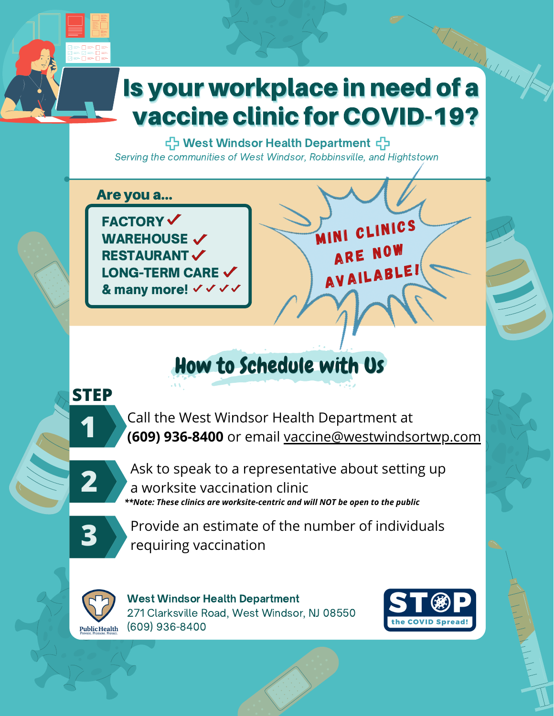# The Contract of the Contract of the Contract of the Contract of the Contract of the Contract of the Contract of the Contract of the Contract of the Contract of the Contract of the Contract of the Contract of the Contract o Is your workplace in need of a **vaccine clinic for COVID-19?**

국 West Windsor Health Department Serving the communities of West Windsor, Robbinsville, and Hightstown

Are you a...

**FACTORY√ WAREHOUSE V RESTAURANT LONG-TERM CARE**  $\checkmark$ & many more! √ √ √ √ MINI CLINICS ARE NOW **AVAILABLE!** 

### How to Schedule with Us

#### **STEP**

Call the West Windsor Health Department at (609) 936-8400 or email vaccine@westwindsortwp.com



Ask to speak to a representative about setting up a worksite vaccination clinic \*\*Note: These clinics are worksite-centric and will NOT be open to the public



Provide an estimate of the number of individuals requiring vaccination



**West Windsor Health Department** 271 Clarksville Road, West Windsor, NJ 08550 (609) 936-8400